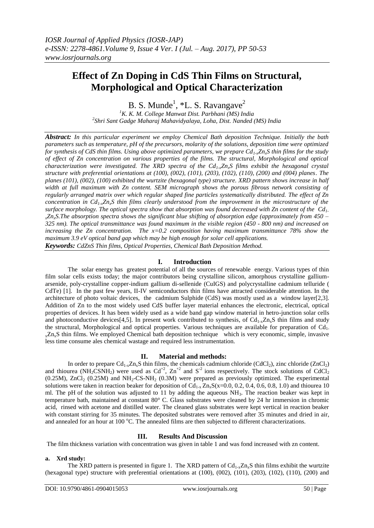# **Effect of Zn Doping in CdS Thin Films on Structural, Morphological and Optical Characterization**

B. S. Munde<sup>1</sup>,  $*$ L. S. Ravangave<sup>2</sup>

*<sup>1</sup>K. K. M. College Manwat Dist. Parbhani (MS) India 2 Shri Sant Gadge Maharaj Mahavidyalaya, Loha, Dist. Nanded (MS) India*

*Abstract: In this particular experiment we employ Chemical Bath deposition Technique. Initially the bath parameters such as temperature, pH of the precursors, molarity of the solutions, deposition time were optimized for synthesis of CdS thin films. Using above optimized parameters, we prepare Cd1-xZnxS thin films for the study of effect of Zn concentration on various properties of the films. The structural, Morphological and optical characterization were investigated. The XRD spectra of the Cd1-xZnxS films exhibit the hexagonal crystal structure with preferential orientations at (100), (002), (101), (203), (102), (110), (200) and (004) planes. The planes (101), (002), (100) exhibited the wurtzite (hexagonal type) structure. XRD pattern shows increase in half width at full maximum with Zn content. SEM micrograph shows the porous fibrous network consisting of regularly arranged matrix over which regular shaped fine particles systematically distributed. The effect of Zn concentration in Cd1-xZnxS thin films clearly understood from the improvement in the microstructure of the surface morphology. The optical spectra show that absorption was found decreased with Zn content of the Cd1 <sup>x</sup>ZnxS.The absorption spectra shows the significant blue shifting of absorption edge (approximately from 450 – 325 nm). The optical transmittance was found maximum in the visible region (450 - 800 nm) and increased on increasing the Zn concentration. The x=0.2 composition having maximum transmittance 78% show the maximum 3.9 eV optical band gap which may be high enough for solar cell applications.*

*Keywords: CdZnS Thin films, Optical Properties, Chemical Bath Deposition Method.*

## **I. Introduction**

The solar energy has greatest potential of all the sources of renewable energy. Various types of thin film solar cells exists today; the major contributors being crystalline silicon, amorphous crystalline galliumarsenide, poly-crystalline copper-indium gallium di-sellenide (CuIGS) and polycrystalline cadmium telluride ( CdTe) [1]. In the past few years, II-IV semiconductors thin films have attracted considerable attention. In the architecture of photo voltaic devices, the cadmium Sulphide (CdS) was mostly used as a window layer[2,3]. Addition of Zn to the most widely used CdS buffer layer material enhances the electronic, electrical, optical properties of devices. It has been widely used as a wide band gap window material in hetro-junction solar cells and photoconductive devices[4,5]. In present work contributed to synthesis, of  $Cd_{1-x}Z_{n_x}S$  thin films and study the structural, Morphological and optical properties. Various techniques are available for preparation of Cd1-  $_{x}Zn_{x}S$  thin films. We employed Chemical bath deposition technique which is very economic, simple, invasive less time consume ales chemical wastage and required less instrumentation.

# **II. Material and methods:**

In order to prepare  $Cd_{1-x}Zn_xS$  thin films, the chemicals cadmium chloride (CdCl<sub>2</sub>), zinc chloride (ZnCl<sub>2</sub>) and thiourea (NH<sub>2</sub>CSNH<sub>2</sub>) were used as  $Cd^{+2}$ ,  $Zn^{+2}$  and  $S^{-2}$  ions respectively. The stock solutions of CdCl<sub>2</sub> (0.25M), ZnCl<sub>2</sub> (0.25M) and NH<sub>2</sub>-CS-NH<sub>2</sub> (0.3M) were prepared as previously optimized. The experimental solutions were taken in reaction beaker for deposition of  $Cd_{1-x} Zn_x S(x=0.0, 0.2, 0.4, 0.6, 0.8, 1.0)$  and thiourea 10 ml. The pH of the solution was adjusted to 11 by adding the aqueous NH3. The reaction beaker was kept in temperature bath, maintained at constant 80° C. Glass substrates were cleaned by 24 hr immersion in chromic acid, rinsed with acetone and distilled water. The cleaned glass substrates were kept vertical in reaction beaker with constant stirring for 35 minutes. The deposited substrates were removed after 35 minutes and dried in air, and annealed for an hour at 100  $^{\circ}$ C. The annealed films are then subjected to different characterizations.

## **III. Results And Discussion**

The film thickness variation with concentration was given in table 1 and was fond increased with zn content.

#### **a. Xrd study:**

The XRD pattern is presented in figure 1. The XRD pattern of  $Cd_{1-x}Zn_xS$  thin films exhibit the wurtzite (hexagonal type) structure with preferential orientations at (100), (002), (101), (203), (102), (110), (200) and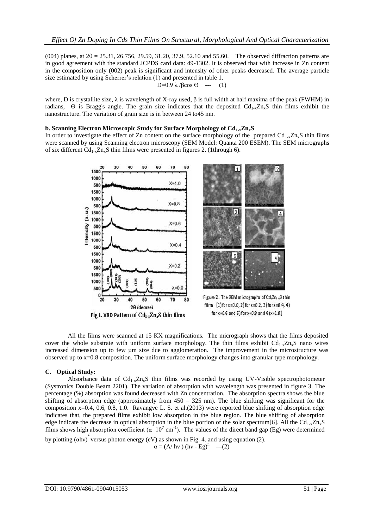$(004)$  planes, at  $2\theta = 25.31$ ,  $26.756$ ,  $29.59$ ,  $31.20$ ,  $37.9$ ,  $52.10$  and  $55.60$ . The observed diffraction patterns are in good agreement with the standard JCPDS card data: 49-1302. It is observed that with increase in Zn content in the composition only (002) peak is significant and intensity of other peaks decreased. The average particle size estimated by using Scherrer's relation (1) and presented in table 1.

D=0.9  $\lambda$  / $\beta$ cos  $\theta$  --- (1)

where, D is crystallite size,  $\lambda$  is wavelength of X-ray used,  $\beta$  is full width at half maxima of the peak (FWHM) in radians,  $\Theta$  is Bragg's angle. The grain size indicates that the deposited  $Cd_{1-x}Z_{n_x}S$  thin films exhibit the nanostructure. The variation of grain size is in between 24 to45 nm.

# **b. Scanning Electron Microscopic Study for Surface Morphology of Cd1-xZnxS**

In order to investigate the effect of Zn content on the surface morphology of the prepared  $Cd_{1-x}Zn_xS$  thin films were scanned by using Scanning electron microscopy (SEM Model: Quanta 200 ESEM). The SEM micrographs of six different  $Cd_{1-x}Zn_xS$  thin films were presented in figures 2. (1through 6).





Figure 2. The SEM micrographs of Cd<sub>x</sub>Zn<sub>14</sub>S thin films  $[1]$ forx=0.0, 2)forx=0.2, 3)forx=0.4, 4)  $for x=0.6$  and  $5)$ for  $x=0.8$  and  $6)$  $x=1.0$ ]

All the films were scanned at 15 KX magnifications. The micrograph shows that the films deposited cover the whole substrate with uniform surface morphology. The thin films exhibit  $Cd_{1-x}Zn_xS$  nano wires increased dimension up to few um size due to agglomeration. The improvement in the microstructure was observed up to x=0.8 composition. The uniform surface morphology changes into granular type morphology.

# **C. Optical Study:**

Absorbance data of  $Cd_{1-x}Z_{n-x}S$  thin films was recorded by using UV-Visible spectrophotometer (Systronics Double Beam 2201). The variation of absorption with wavelength was presented in figure 3. The percentage (%) absorption was found decreased with Zn concentration. The absorption spectra shows the blue shifting of absorption edge (approximately from 450 – 325 nm). The blue shifting was significant for the composition  $x=0.4$ , 0.6, 0.8, 1.0. Ravangve L. S. et al.(2013) were reported blue shifting of absorption edge indicates that, the prepared films exhibit low absorption in the blue region. The blue shifting of absorption edge indicate the decrease in optical absorption in the blue portion of the solar spectrum[6]. All the Cd<sub>1-x</sub>Zn<sub>x</sub>S films shows high absorption coefficient ( $\alpha=10^7$  cm<sup>-1</sup>). The values of the direct band gap (Eg) were determined

by plotting (ahv) versus photon energy (eV) as shown in Fig. 4. and using equation (2).  $\alpha = (A/\text{ hv}) (\text{hv} - \text{Eg})^n$  ---(2)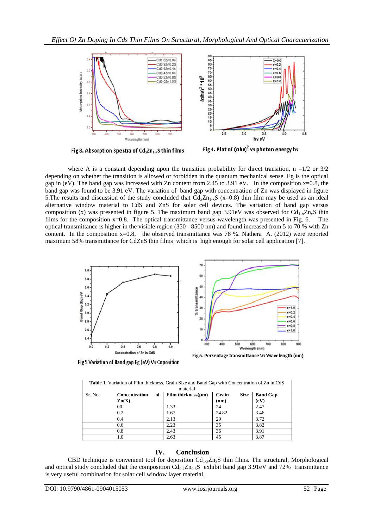

Fig 3. Absorption Spectra of Cd, Zn<sub>1-x</sub>S thin films

Fig 4. Plot of  $(ahv)^2$  vs photon energy hv

where A is a constant depending upon the transition probability for direct transition,  $n = 1/2$  or  $3/2$ depending on whether the transition is allowed or forbidden in the quantum mechanical sense. Eg is the optical gap in (eV). The band gap was increased with Zn content from 2.45 to 3.91 eV. In the composition  $x=0.8$ , the band gap was found to be 3.91 eV. The variation of band gap with concentration of Zn was displayed in figure 5. The results and discussion of the study concluded that  $Cd_xZn_{1-x}S$  (x=0.8) thin film may be used as an ideal alternative window material to CdS and ZnS for solar cell devices. The variation of band gap versus composition (x) was presented in figure 5. The maximum band gap 3.91eV was observed for  $Cd_{1-x}Zn_xS$  thin films for the composition x=0.8. The optical transmittance versus wavelength was presented in Fig. 6. The optical transmittance is higher in the visible region (350 - 8500 nm) and found increased from 5 to 70 % with Zn content. In the composition x=0.8, the observed transmittance was 78 %. Nathera A. (2012) were reported maximum 58% transmittance for CdZnS thin films which is high enough for solar cell application [7].



| <b>Table 1.</b> Variation of Film thickness, Grain Size and Band Gap with Concentration of Zn in CdS<br>material |                                          |    |                          |               |             |                         |
|------------------------------------------------------------------------------------------------------------------|------------------------------------------|----|--------------------------|---------------|-------------|-------------------------|
| Sr. No.                                                                                                          | <b>Concentration</b><br>$\mathbf{Zn}(X)$ | of | Film thickness $(\mu m)$ | Grain<br>(nm) | <b>Size</b> | <b>Band Gap</b><br>(eV) |
|                                                                                                                  | 00                                       |    | 1.33                     | 24            |             | 2.47                    |
|                                                                                                                  | 0.2                                      |    | 1.67                     | 24.82         |             | 3.46                    |
|                                                                                                                  | 0.4                                      |    | 2.13                     | 29            |             | 3.72                    |
|                                                                                                                  | 0.6                                      |    | 2.23                     | 35            |             | 3.82                    |
|                                                                                                                  | 0.8                                      |    | 2.43                     | 36            |             | 3.91                    |
|                                                                                                                  | 1.0                                      |    | 2.63                     | 45            |             | 3.87                    |

**Table 1.** Variation of Film thickness, Grain Size and Band Gap with Concentration of Zn in CdS

# **IV. Conclusion**

CBD technique is convenient tool for deposition  $Cd_{1-x}Zn_xS$  thin films. The structural, Morphological and optical study concluded that the composition  $Cd_{0.2}Zn_{0.8}S$  exhibit band gap 3.91eV and 72% transmittance is very useful combination for solar cell window layer material.